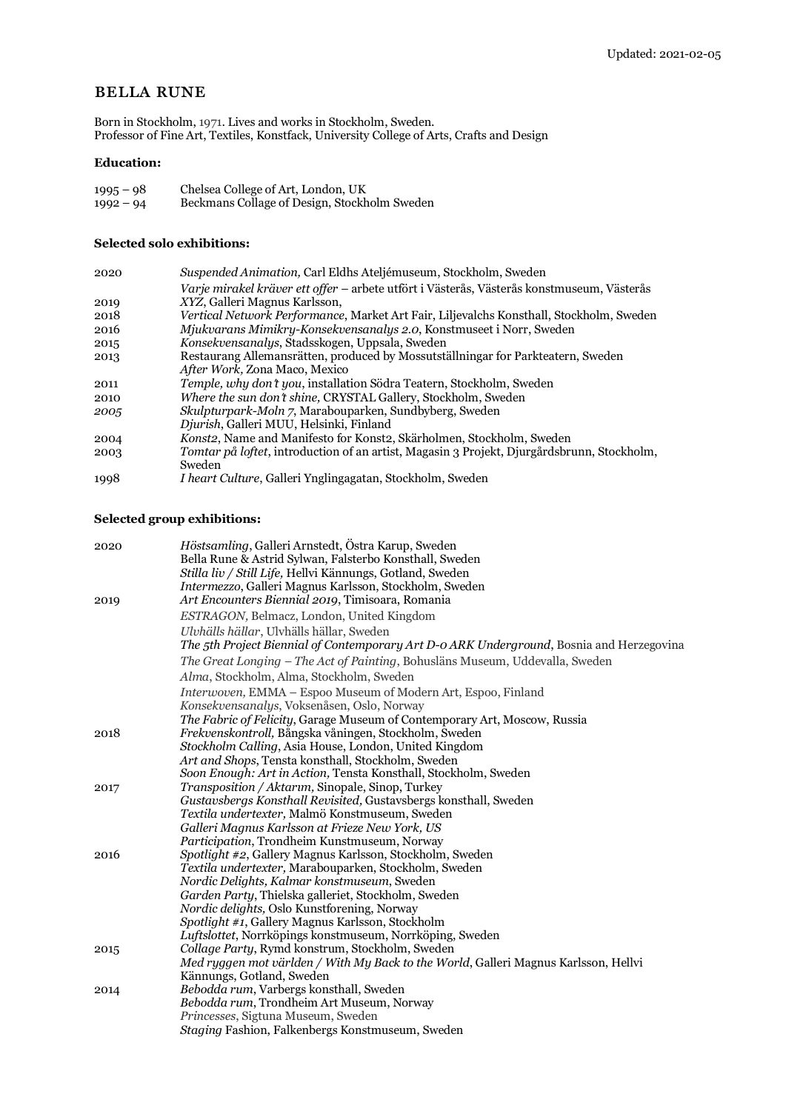# bella rune

Born in Stockholm, 1971. Lives and works in Stockholm, Sweden. Professor of Fine Art, Textiles, Konstfack, University College of Arts, Crafts and Design

### **Education:**

| $1995 - 98$ | Chelsea College of Art, London, UK           |
|-------------|----------------------------------------------|
| $1992 - 94$ | Beckmans Collage of Design, Stockholm Sweden |

## **Selected solo exhibitions:**

| 2020 | Suspended Animation, Carl Eldhs Ateljémuseum, Stockholm, Sweden                                   |
|------|---------------------------------------------------------------------------------------------------|
|      | Varje mirakel kräver ett offer – arbete utfört i Västerås, Västerås konstmuseum, Västerås         |
| 2019 | XYZ, Galleri Magnus Karlsson,                                                                     |
| 2018 | <i>Vertical Network Performance, Market Art Fair, Liljevalchs Konsthall, Stockholm, Sweden</i>    |
| 2016 | Mjukvarans Mimikry-Konsekvensanalys 2.0, Konstmuseet i Norr, Sweden                               |
| 2015 | Konsekvensanalys, Stadsskogen, Uppsala, Sweden                                                    |
| 2013 | Restaurang Allemansrätten, produced by Mossutställningar for Parkteatern, Sweden                  |
|      | After Work, Zona Maco, Mexico                                                                     |
| 2011 | <i>Temple, why don't you, installation Södra Teatern, Stockholm, Sweden</i>                       |
| 2010 | Where the sun don't shine, CRYSTAL Gallery, Stockholm, Sweden                                     |
| 2005 | Skulpturpark-Moln 7, Marabouparken, Sundbyberg, Sweden                                            |
|      | Djurish, Galleri MUU, Helsinki, Finland                                                           |
| 2004 | <i>Konsta</i> , Name and Manifesto for Konsta, Skärholmen, Stockholm, Sweden                      |
| 2003 | <i>Tomtar på loftet,</i> introduction of an artist, Magasin 3 Projekt, Djurgårdsbrunn, Stockholm, |
|      | Sweden                                                                                            |
| 1998 | <i>I heart Culture, Galleri Ynglingagatan, Stockholm, Sweden</i>                                  |

## **Selected group exhibitions:**

| 2020 | Höstsamling, Galleri Arnstedt, Östra Karup, Sweden<br>Bella Rune & Astrid Sylwan, Falsterbo Konsthall, Sweden               |
|------|-----------------------------------------------------------------------------------------------------------------------------|
|      | Stilla liv / Still Life, Hellvi Kännungs, Gotland, Sweden                                                                   |
|      | Intermezzo, Galleri Magnus Karlsson, Stockholm, Sweden                                                                      |
| 2019 | Art Encounters Biennial 2019, Timisoara, Romania                                                                            |
|      | ESTRAGON, Belmacz, London, United Kingdom                                                                                   |
|      | Ulvhälls hällar, Ulvhälls hällar, Sweden                                                                                    |
|      | The 5th Project Biennial of Contemporary Art D-o ARK Underground, Bosnia and Herzegovina                                    |
|      | The Great Longing - The Act of Painting, Bohusläns Museum, Uddevalla, Sweden                                                |
|      |                                                                                                                             |
|      | Alma, Stockholm, Alma, Stockholm, Sweden                                                                                    |
|      | <i>Interwoven, EMMA – Espoo Museum of Modern Art, Espoo, Finland</i>                                                        |
|      | Konsekvensanalys, Voksenåsen, Oslo, Norway                                                                                  |
|      | The Fabric of Felicity, Garage Museum of Contemporary Art, Moscow, Russia                                                   |
| 2018 | Frekvenskontroll, Bångska våningen, Stockholm, Sweden                                                                       |
|      | Stockholm Calling, Asia House, London, United Kingdom                                                                       |
|      | Art and Shops, Tensta konsthall, Stockholm, Sweden                                                                          |
|      | Soon Enough: Art in Action, Tensta Konsthall, Stockholm, Sweden                                                             |
| 2017 | <i>Transposition / Aktarim, Sinopale, Sinop, Turkey</i><br>Gustavsbergs Konsthall Revisited, Gustavsbergs konsthall, Sweden |
|      | Textila undertexter, Malmö Konstmuseum, Sweden                                                                              |
|      | Galleri Magnus Karlsson at Frieze New York, US                                                                              |
|      | Participation, Trondheim Kunstmuseum, Norway                                                                                |
| 2016 | Spotlight #2, Gallery Magnus Karlsson, Stockholm, Sweden                                                                    |
|      | Textila undertexter, Marabouparken, Stockholm, Sweden                                                                       |
|      | Nordic Delights, Kalmar konstmuseum, Sweden                                                                                 |
|      | Garden Party, Thielska galleriet, Stockholm, Sweden                                                                         |
|      | <i>Nordic delights, Oslo Kunstforening, Norway</i>                                                                          |
|      | <i>Spotlight #1, Gallery Magnus Karlsson, Stockholm</i>                                                                     |
|      | Luftslottet, Norrköpings konstmuseum, Norrköping, Sweden                                                                    |
| 2015 | Collage Party, Rymd konstrum, Stockholm, Sweden                                                                             |
|      | Med ryggen mot världen / With My Back to the World, Galleri Magnus Karlsson, Hellvi                                         |
|      | Kännungs, Gotland, Sweden                                                                                                   |
| 2014 | Bebodda rum, Varbergs konsthall, Sweden                                                                                     |
|      | Bebodda rum, Trondheim Art Museum, Norway                                                                                   |
|      | Princesses, Sigtuna Museum, Sweden                                                                                          |
|      | Staging Fashion, Falkenbergs Konstmuseum, Sweden                                                                            |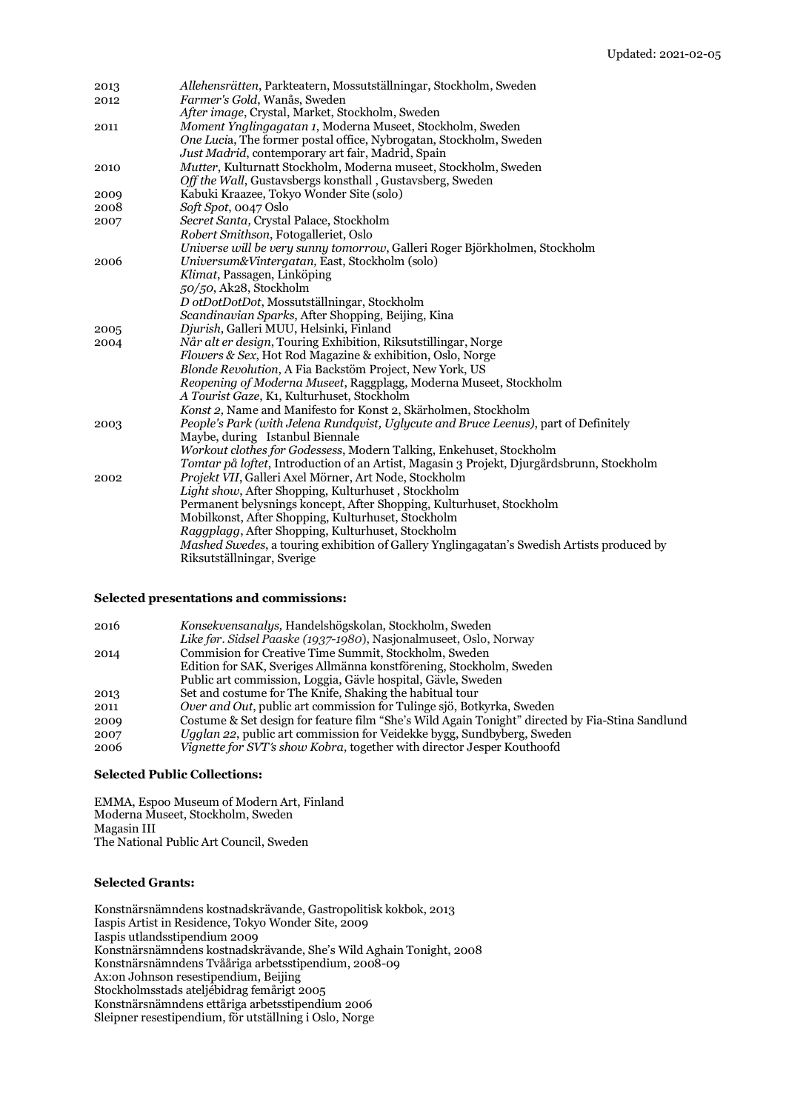| 2013 | Allehensrätten, Parkteatern, Mossutställningar, Stockholm, Sweden                                                                   |
|------|-------------------------------------------------------------------------------------------------------------------------------------|
| 2012 | Farmer's Gold, Wanås, Sweden                                                                                                        |
|      | After image, Crystal, Market, Stockholm, Sweden                                                                                     |
| 2011 | Moment Ynglingagatan 1, Moderna Museet, Stockholm, Sweden                                                                           |
|      | One Lucia, The former postal office, Nybrogatan, Stockholm, Sweden                                                                  |
|      | Just Madrid, contemporary art fair, Madrid, Spain                                                                                   |
| 2010 | Mutter, Kulturnatt Stockholm, Moderna museet, Stockholm, Sweden                                                                     |
|      | Off the Wall, Gustavsbergs konsthall, Gustavsberg, Sweden                                                                           |
| 2009 | Kabuki Kraazee, Tokyo Wonder Site (solo)                                                                                            |
| 2008 | Soft Spot, 0047 Oslo                                                                                                                |
| 2007 | Secret Santa, Crystal Palace, Stockholm                                                                                             |
|      | Robert Smithson, Fotogalleriet, Oslo                                                                                                |
|      | Universe will be very sunny tomorrow, Galleri Roger Björkholmen, Stockholm                                                          |
| 2006 | Universum&Vintergatan, East, Stockholm (solo)                                                                                       |
|      | Klimat, Passagen, Linköping                                                                                                         |
|      | 50/50, Ak28, Stockholm                                                                                                              |
|      | D otDotDotDot, Mossutställningar, Stockholm                                                                                         |
|      | Scandinavian Sparks, After Shopping, Beijing, Kina                                                                                  |
| 2005 | Djurish, Galleri MUU, Helsinki, Finland                                                                                             |
| 2004 | Når alt er design, Touring Exhibition, Riksutstillingar, Norge                                                                      |
|      | <i>Flowers &amp; Sex</i> , Hot Rod Magazine & exhibition, Oslo, Norge                                                               |
|      | <i>Blonde Revolution, A Fia Backstöm Project, New York, US</i><br>Reopening of Moderna Museet, Raggplagg, Moderna Museet, Stockholm |
|      | A Tourist Gaze, K1, Kulturhuset, Stockholm                                                                                          |
|      | Konst 2, Name and Manifesto for Konst 2, Skärholmen, Stockholm                                                                      |
| 2003 | People's Park (with Jelena Rundqvist, Uglycute and Bruce Leenus), part of Definitely                                                |
|      | Maybe, during Istanbul Biennale                                                                                                     |
|      | Workout clothes for Godessess, Modern Talking, Enkehuset, Stockholm                                                                 |
|      | Tomtar på loftet, Introduction of an Artist, Magasin 3 Projekt, Djurgårdsbrunn, Stockholm                                           |
| 2002 | Projekt VII, Galleri Axel Mörner, Art Node, Stockholm                                                                               |
|      | Light show, After Shopping, Kulturhuset, Stockholm                                                                                  |
|      | Permanent belysnings koncept, After Shopping, Kulturhuset, Stockholm                                                                |
|      | Mobilkonst, After Shopping, Kulturhuset, Stockholm                                                                                  |
|      | Raggplagg, After Shopping, Kulturhuset, Stockholm                                                                                   |
|      | Mashed Swedes, a touring exhibition of Gallery Ynglingagatan's Swedish Artists produced by                                          |
|      | Riksutställningar, Sverige                                                                                                          |
|      |                                                                                                                                     |

### **Selected presentations and commissions:**

| 2016 | Konsekvensanalys, Handelshögskolan, Stockholm, Sweden                                           |
|------|-------------------------------------------------------------------------------------------------|
|      | Like før. Sidsel Paaske (1937-1980), Nasjonalmuseet, Oslo, Norway                               |
| 2014 | Commision for Creative Time Summit, Stockholm, Sweden                                           |
|      | Edition for SAK, Sveriges Allmänna konstförening, Stockholm, Sweden                             |
|      | Public art commission, Loggia, Gävle hospital, Gävle, Sweden                                    |
| 2013 | Set and costume for The Knife, Shaking the habitual tour                                        |
| 2011 | Over and Out, public art commission for Tulinge sjö, Botkyrka, Sweden                           |
| 2009 | Costume & Set design for feature film "She's Wild Again Tonight" directed by Fia-Stina Sandlund |
| 2007 | Ugglan 22, public art commission for Veidekke bygg, Sundbyberg, Sweden                          |
| 2006 | Vignette for SVT's show Kobra, together with director Jesper Kouthoofd                          |

#### **Selected Public Collections:**

EMMA, Espoo Museum of Modern Art, Finland Moderna Museet, Stockholm, Sweden Magasin III The National Public Art Council, Sweden

## **Selected Grants:**

Konstnärsnämndens kostnadskrävande, Gastropolitisk kokbok, 2013 Iaspis Artist in Residence, Tokyo Wonder Site, 2009 Iaspis utlandsstipendium 2009 Konstnärsnämndens kostnadskrävande, She's Wild Aghain Tonight, 2008 Konstnärsnämndens Tvååriga arbetsstipendium, 2008-09 Ax:on Johnson resestipendium, Beijing Stockholmsstads ateljébidrag femårigt 2005 Konstnärsnämndens ettåriga arbetsstipendium 2006 Sleipner resestipendium, för utställning i Oslo, Norge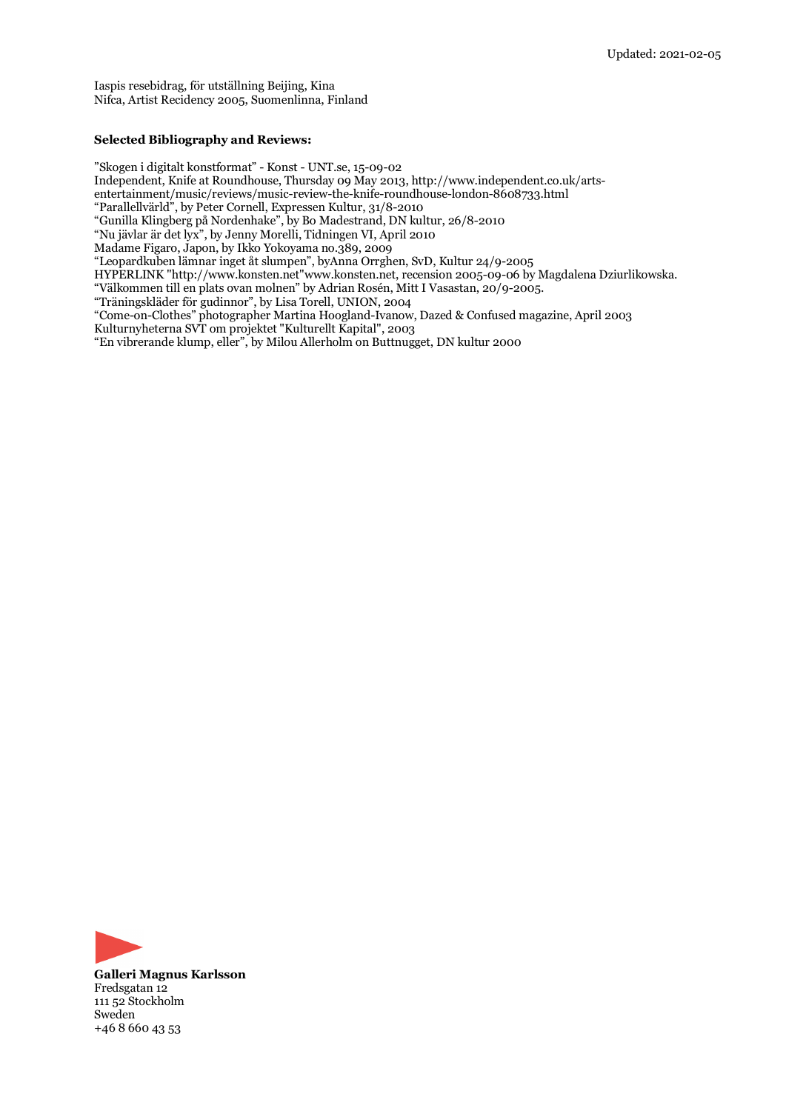Iaspis resebidrag, för utställning Beijing, Kina Nifca, Artist Recidency 2005, Suomenlinna, Finland

#### **Selected Bibliography and Reviews:**

"Skogen i digitalt konstformat" - Konst - UNT.se, 15-09-02

Independent, Knife at Roundhouse, Thursday 09 May 2013, http://www.independent.co.uk/arts-

entertainment/music/reviews/music-review-the-knife-roundhouse-london-8608733.html

"Parallellvärld", by Peter Cornell, Expressen Kultur, 31/8-2010

"Gunilla Klingberg på Nordenhake", by Bo Madestrand, DN kultur, 26/8-2010

"Nu jävlar är det lyx", by Jenny Morelli, Tidningen VI, April 2010

Madame Figaro, Japon, by Ikko Yokoyama no.389, 2009

"Leopardkuben lämnar inget åt slumpen", byAnna Orrghen, SvD, Kultur 24/9-2005

HYPERLINK "http://www.konsten.net"www.konsten.net, recension 2005-09-06 by Magdalena Dziurlikowska.

"Välkommen till en plats ovan molnen" by Adrian Rosén, Mitt I Vasastan, 20/9-2005.

"Träningskläder för gudinnor", by Lisa Torell, UNION, 2004

"Come-on-Clothes" photographer Martina Hoogland-Ivanow, Dazed & Confused magazine, April 2003 Kulturnyheterna SVT om projektet "Kulturellt Kapital", 2003

"En vibrerande klump, eller", by Milou Allerholm on Buttnugget, DN kultur 2000



**Galleri Magnus Karlsson** Fredsgatan 12 111 52 Stockholm Sweden +46 8 660 43 53